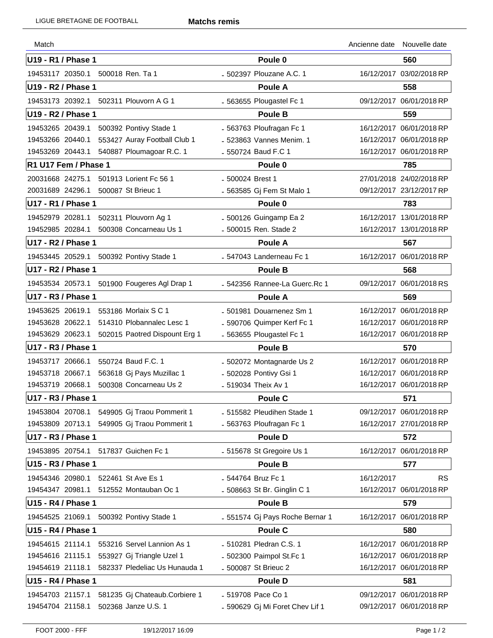| Match                     |                                         |                                 | Ancienne date | Nouvelle date            |
|---------------------------|-----------------------------------------|---------------------------------|---------------|--------------------------|
| U19 - R1 / Phase 1        |                                         | Poule 0                         |               | 560                      |
| 19453117 20350.1          | 500018 Ren. Ta 1                        | - 502397 Plouzane A.C. 1        |               | 16/12/2017 03/02/2018 RP |
| U19 - R2 / Phase 1        |                                         | <b>Poule A</b>                  |               | 558                      |
| 19453173 20392.1          | 502311 Plouvorn A G 1                   | - 563655 Plougastel Fc 1        |               | 09/12/2017 06/01/2018 RP |
| U19 - R2 / Phase 1        |                                         | <b>Poule B</b>                  |               | 559                      |
| 19453265 20439.1          | 500392 Pontivy Stade 1                  | - 563763 Ploufragan Fc 1        |               | 16/12/2017 06/01/2018 RP |
| 19453266 20440.1          | 553427 Auray Football Club 1            | - 523863 Vannes Menim. 1        |               | 16/12/2017 06/01/2018 RP |
| 19453269 20443.1          | 540887 Ploumagoar R.C. 1                | - 550724 Baud F.C 1             |               | 16/12/2017 06/01/2018 RP |
| R1 U17 Fem / Phase 1      |                                         | Poule <sub>0</sub>              |               | 785                      |
| 20031668 24275.1          | 501913 Lorient Fc 56 1                  | - 500024 Brest 1                |               | 27/01/2018 24/02/2018 RP |
| 20031689 24296.1          | 500087 St Brieuc 1                      | - 563585 Gj Fem St Malo 1       |               | 09/12/2017 23/12/2017 RP |
| U17 - R1 / Phase 1        |                                         | Poule <sub>0</sub>              |               | 783                      |
| 19452979 20281.1          | 502311 Plouvorn Ag 1                    | - 500126 Guingamp Ea 2          |               | 16/12/2017 13/01/2018 RP |
| 19452985 20284.1          | 500308 Concarneau Us 1                  | - 500015 Ren. Stade 2           |               | 16/12/2017 13/01/2018 RP |
| U17 - R2 / Phase 1        |                                         | <b>Poule A</b>                  |               | 567                      |
|                           | 19453445 20529.1 500392 Pontivy Stade 1 | - 547043 Landerneau Fc 1        |               | 16/12/2017 06/01/2018 RP |
| <b>U17 - R2 / Phase 1</b> |                                         | <b>Poule B</b>                  |               | 568                      |
| 19453534 20573.1          | 501900 Fougeres Agl Drap 1              | - 542356 Rannee-La Guerc.Rc 1   | 09/12/2017    | 06/01/2018 RS            |
| U17 - R3 / Phase 1        |                                         | Poule A                         |               | 569                      |
| 19453625 20619.1          | 553186 Morlaix S C 1                    | - 501981 Douarnenez Sm 1        |               | 16/12/2017 06/01/2018 RP |
| 19453628 20622.1          | 514310 Plobannalec Lesc 1               | - 590706 Quimper Kerf Fc 1      |               | 16/12/2017 06/01/2018 RP |
| 19453629 20623.1          | 502015 Paotred Dispount Erg 1           | - 563655 Plougastel Fc 1        |               | 16/12/2017 06/01/2018 RP |
| U17 - R3 / Phase 1        |                                         | <b>Poule B</b>                  |               | 570                      |
| 19453717 20666.1          | 550724 Baud F.C. 1                      | - 502072 Montagnarde Us 2       |               | 16/12/2017 06/01/2018 RP |
| 19453718 20667.1          | 563618 Gj Pays Muzillac 1               | - 502028 Pontivy Gsi 1          |               | 16/12/2017 06/01/2018 RP |
| 19453719 20668.1          | 500308 Concarneau Us 2                  | - 519034 Theix Av 1             |               | 16/12/2017 06/01/2018 RP |
| U17 - R3 / Phase 1        |                                         | Poule C                         |               | 571                      |
| 19453804 20708.1          | 549905 Gj Traou Pommerit 1              | - 515582 Pleudihen Stade 1      |               | 09/12/2017 06/01/2018 RP |
| 19453809 20713.1          | 549905 Gj Traou Pommerit 1              | - 563763 Ploufragan Fc 1        |               | 16/12/2017 27/01/2018 RP |
| U17 - R3 / Phase 1        |                                         | <b>Poule D</b>                  |               | 572                      |
| 19453895 20754.1          | 517837 Guichen Fc 1                     | - 515678 St Gregoire Us 1       |               | 16/12/2017 06/01/2018 RP |
| U15 - R3 / Phase 1        |                                         | <b>Poule B</b>                  |               | 577                      |
| 19454346 20980.1          | 522461 St Ave Es 1                      | - 544764 Bruz Fc 1              | 16/12/2017    | <b>RS</b>                |
| 19454347 20981.1          | 512552 Montauban Oc 1                   | - 508663 St Br. Ginglin C 1     |               | 16/12/2017 06/01/2018 RP |
| U15 - R4 / Phase 1        |                                         | Poule B                         |               | 579                      |
| 19454525 21069.1          | 500392 Pontivy Stade 1                  | - 551574 Gj Pays Roche Bernar 1 |               | 16/12/2017 06/01/2018 RP |
| U15 - R4 / Phase 1        |                                         | Poule C                         |               | 580                      |
| 19454615 21114.1          | 553216 Servel Lannion As 1              | - 510281 Pledran C.S. 1         |               | 16/12/2017 06/01/2018 RP |
| 19454616 21115.1          | 553927 Gj Triangle Uzel 1               | - 502300 Paimpol St.Fc 1        |               | 16/12/2017 06/01/2018 RP |
| 19454619 21118.1          | 582337 Pledeliac Us Hunauda 1           | - 500087 St Brieuc 2            |               | 16/12/2017 06/01/2018 RP |
| U15 - R4 / Phase 1        |                                         | <b>Poule D</b>                  |               | 581                      |
| 19454703 21157.1          | 581235 Gj Chateaub.Corbiere 1           | - 519708 Pace Co 1              |               | 09/12/2017 06/01/2018 RP |
| 19454704 21158.1          | 502368 Janze U.S. 1                     | - 590629 Gj Mi Foret Chev Lif 1 |               | 09/12/2017 06/01/2018 RP |